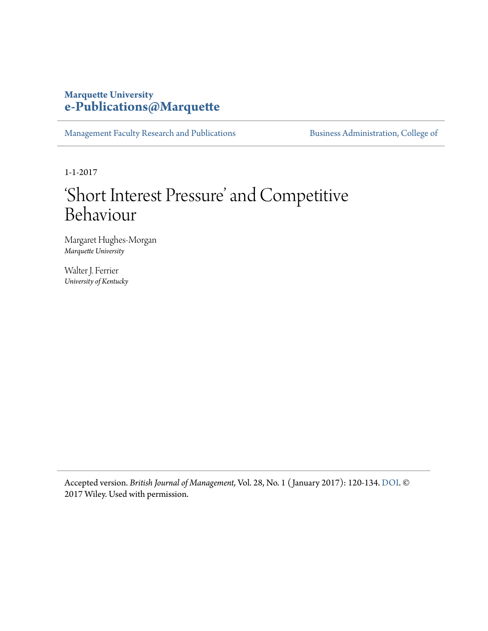## **Marquette University [e-Publications@Marquette](http://epublications.marquette.edu)**

[Management Faculty Research and Publications](http://epublications.marquette.edu/mgmt_fac) [Business Administration, College of](http://epublications.marquette.edu/business)

1-1-2017

## 'Short Interest Pressure' and Competitive Behaviour

Margaret Hughes-Morgan *Marquette University*

Walter J. Ferrier *University of Kentucky*

Accepted version. *British Journal of Management,* Vol. 28, No. 1 ( January 2017): 120-134. [DOI.](http://dx.doi.org/10.1111/1467-8551.12166) © 2017 Wiley. Used with permission.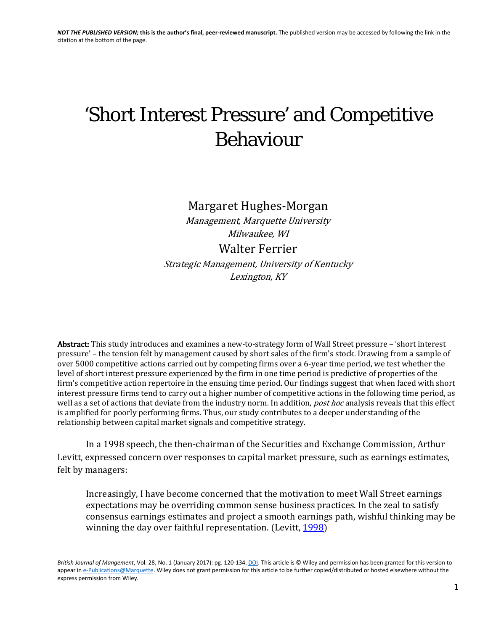# 'Short Interest Pressure' and Competitive Behaviour

Margaret Hughes-Morgan

Management, Marquette University Milwaukee, WI Walter Ferrier

Strategic Management, University of Kentucky Lexington, KY

Abstract: This study introduces and examines a new-to-strategy form of Wall Street pressure – 'short interest pressure' – the tension felt by management caused by short sales of the firm's stock. Drawing from a sample of over 5000 competitive actions carried out by competing firms over a 6-year time period, we test whether the level of short interest pressure experienced by the firm in one time period is predictive of properties of the firm's competitive action repertoire in the ensuing time period. Our findings suggest that when faced with short interest pressure firms tend to carry out a higher number of competitive actions in the following time period, as well as a set of actions that deviate from the industry norm. In addition, post hoc analysis reveals that this effect is amplified for poorly performing firms. Thus, our study contributes to a deeper understanding of the relationship between capital market signals and competitive strategy.

In a 1998 speech, the then-chairman of the Securities and Exchange Commission, Arthur Levitt, expressed concern over responses to capital market pressure, such as earnings estimates, felt by managers:

Increasingly, I have become concerned that the motivation to meet Wall Street earnings expectations may be overriding common sense business practices. In the zeal to satisfy consensus earnings estimates and project a smooth earnings path, wishful thinking may be winning the day over faithful representation. (Levitt, [1998\)](http://onlinelibrary.wiley.com/doi/10.1111/1467-8551.12166/full#bjom12166-bib-0048)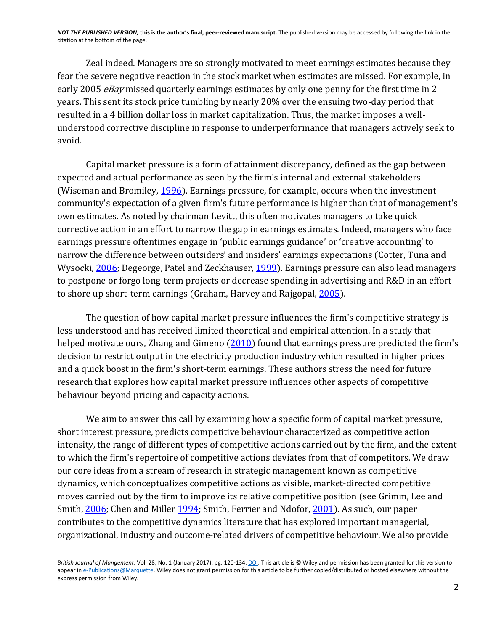Zeal indeed. Managers are so strongly motivated to meet earnings estimates because they fear the severe negative reaction in the stock market when estimates are missed. For example, in early 2005 *eBay* missed quarterly earnings estimates by only one penny for the first time in 2 years. This sent its stock price tumbling by nearly 20% over the ensuing two-day period that resulted in a 4 billion dollar loss in market capitalization. Thus, the market imposes a wellunderstood corrective discipline in response to underperformance that managers actively seek to avoid.

Capital market pressure is a form of attainment discrepancy, defined as the gap between expected and actual performance as seen by the firm's internal and external stakeholders (Wiseman and Bromiley[, 1996\)](http://onlinelibrary.wiley.com/doi/10.1111/1467-8551.12166/full#bjom12166-bib-0063). Earnings pressure, for example, occurs when the investment community's expectation of a given firm's future performance is higher than that of management's own estimates. As noted by chairman Levitt, this often motivates managers to take quick corrective action in an effort to narrow the gap in earnings estimates. Indeed, managers who face earnings pressure oftentimes engage in 'public earnings guidance' or 'creative accounting' to narrow the difference between outsiders' and insiders' earnings expectations (Cotter, Tuna and Wysocki, [2006;](http://onlinelibrary.wiley.com/doi/10.1111/1467-8551.12166/full#bjom12166-bib-0013) Degeorge, Patel and Zeckhauser, [1999\)](http://onlinelibrary.wiley.com/doi/10.1111/1467-8551.12166/full#bjom12166-bib-0018). Earnings pressure can also lead managers to postpone or forgo long-term projects or decrease spending in advertising and R&D in an effort to shore up short-term earnings (Graham, Harvey and Rajgopal, [2005\)](http://onlinelibrary.wiley.com/doi/10.1111/1467-8551.12166/full#bjom12166-bib-0033).

The question of how capital market pressure influences the firm's competitive strategy is less understood and has received limited theoretical and empirical attention. In a study that helped motivate ours, Zhang and Gimeno [\(2010\)](http://onlinelibrary.wiley.com/doi/10.1111/1467-8551.12166/full#bjom12166-bib-0067) found that earnings pressure predicted the firm's decision to restrict output in the electricity production industry which resulted in higher prices and a quick boost in the firm's short-term earnings. These authors stress the need for future research that explores how capital market pressure influences other aspects of competitive behaviour beyond pricing and capacity actions.

We aim to answer this call by examining how a specific form of capital market pressure, short interest pressure, predicts competitive behaviour characterized as competitive action intensity, the range of different types of competitive actions carried out by the firm, and the extent to which the firm's repertoire of competitive actions deviates from that of competitors. We draw our core ideas from a stream of research in strategic management known as competitive dynamics, which conceptualizes competitive actions as visible, market-directed competitive moves carried out by the firm to improve its relative competitive position (see Grimm, Lee and Smith, [2006;](http://onlinelibrary.wiley.com/doi/10.1111/1467-8551.12166/full#bjom12166-bib-0034) Chen and Miller [1994;](http://onlinelibrary.wiley.com/doi/10.1111/1467-8551.12166/full#bjom12166-bib-0052) Smith, Ferrier and Ndofor, [2001\)](http://onlinelibrary.wiley.com/doi/10.1111/1467-8551.12166/full#bjom12166-bib-0060). As such, our paper contributes to the competitive dynamics literature that has explored important managerial, organizational, industry and outcome-related drivers of competitive behaviour. We also provide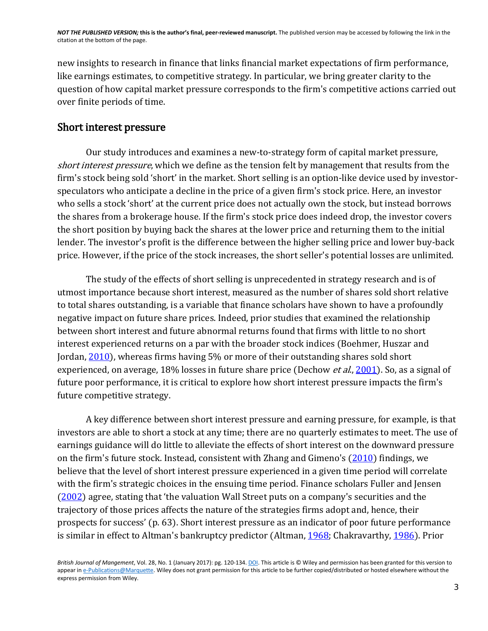new insights to research in finance that links financial market expectations of firm performance, like earnings estimates, to competitive strategy. In particular, we bring greater clarity to the question of how capital market pressure corresponds to the firm's competitive actions carried out over finite periods of time.

### Short interest pressure

Our study introduces and examines a new-to-strategy form of capital market pressure, short interest pressure, which we define as the tension felt by management that results from the firm's stock being sold 'short' in the market. Short selling is an option-like device used by investorspeculators who anticipate a decline in the price of a given firm's stock price. Here, an investor who sells a stock 'short' at the current price does not actually own the stock, but instead borrows the shares from a brokerage house. If the firm's stock price does indeed drop, the investor covers the short position by buying back the shares at the lower price and returning them to the initial lender. The investor's profit is the difference between the higher selling price and lower buy-back price. However, if the price of the stock increases, the short seller's potential losses are unlimited.

The study of the effects of short selling is unprecedented in strategy research and is of utmost importance because short interest, measured as the number of shares sold short relative to total shares outstanding, is a variable that finance scholars have shown to have a profoundly negative impact on future share prices. Indeed, prior studies that examined the relationship between short interest and future abnormal returns found that firms with little to no short interest experienced returns on a par with the broader stock indices (Boehmer, Huszar and Jordan, [2010\)](http://onlinelibrary.wiley.com/doi/10.1111/1467-8551.12166/full#bjom12166-bib-0004), whereas firms having 5% or more of their outstanding shares sold short experienced, on average, 18% losses in future share price (Dechow *et al.*, [2001\)](http://onlinelibrary.wiley.com/doi/10.1111/1467-8551.12166/full#bjom12166-bib-0015). So, as a signal of future poor performance, it is critical to explore how short interest pressure impacts the firm's future competitive strategy.

A key difference between short interest pressure and earning pressure, for example, is that investors are able to short a stock at any time; there are no quarterly estimates to meet. The use of earnings guidance will do little to alleviate the effects of short interest on the downward pressure on the firm's future stock. Instead, consistent with Zhang and Gimeno's [\(2010\)](http://onlinelibrary.wiley.com/doi/10.1111/1467-8551.12166/full#bjom12166-bib-0067) findings, we believe that the level of short interest pressure experienced in a given time period will correlate with the firm's strategic choices in the ensuing time period. Finance scholars Fuller and Jensen [\(2002\)](http://onlinelibrary.wiley.com/doi/10.1111/1467-8551.12166/full#bjom12166-bib-0029) agree, stating that 'the valuation Wall Street puts on a company's securities and the trajectory of those prices affects the nature of the strategies firms adopt and, hence, their prospects for success' (p. 63). Short interest pressure as an indicator of poor future performance is similar in effect to Altman's bankruptcy predictor (Altman, [1968;](http://onlinelibrary.wiley.com/doi/10.1111/1467-8551.12166/full#bjom12166-bib-0002) Chakravarthy[, 1986\)](http://onlinelibrary.wiley.com/doi/10.1111/1467-8551.12166/full#bjom12166-bib-0005). Prior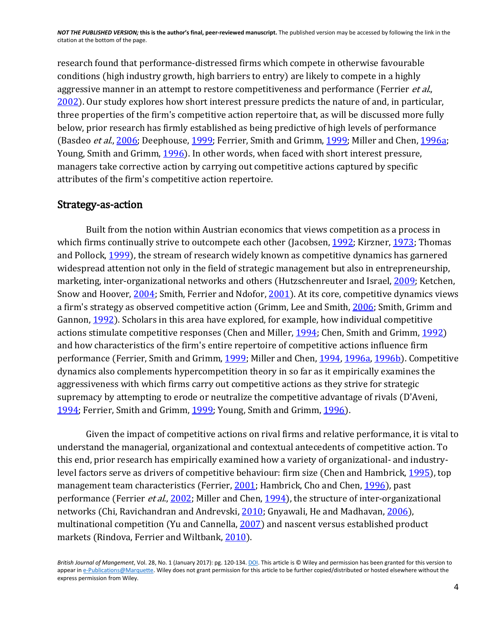research found that performance-distressed firms which compete in otherwise favourable conditions (high industry growth, high barriers to entry) are likely to compete in a highly aggressive manner in an attempt to restore competitiveness and performance (Ferrier *et al.*, [2002\)](http://onlinelibrary.wiley.com/doi/10.1111/1467-8551.12166/full#bjom12166-bib-0027). Our study explores how short interest pressure predicts the nature of and, in particular, three properties of the firm's competitive action repertoire that, as will be discussed more fully below, prior research has firmly established as being predictive of high levels of performance (Basdeo et al., [2006;](http://onlinelibrary.wiley.com/doi/10.1111/1467-8551.12166/full#bjom12166-bib-0003) Deephouse, [1999;](http://onlinelibrary.wiley.com/doi/10.1111/1467-8551.12166/full#bjom12166-bib-0026) Ferrier, Smith and Grimm, 1999; Miller and Chen, [1996a;](http://onlinelibrary.wiley.com/doi/10.1111/1467-8551.12166/full#bjom12166-bib-0053) Young, Smith and Grimm[, 1996\)](http://onlinelibrary.wiley.com/doi/10.1111/1467-8551.12166/full#bjom12166-bib-0064). In other words, when faced with short interest pressure, managers take corrective action by carrying out competitive actions captured by specific attributes of the firm's competitive action repertoire.

#### Strategy-as-action

Built from the notion within Austrian economics that views competition as a process in which firms continually strive to outcompete each other (Jacobsen, [1992;](http://onlinelibrary.wiley.com/doi/10.1111/1467-8551.12166/full#bjom12166-bib-0039) Kirzner, [1973;](http://onlinelibrary.wiley.com/doi/10.1111/1467-8551.12166/full#bjom12166-bib-0045) Thomas and Pollock, [1999\)](http://onlinelibrary.wiley.com/doi/10.1111/1467-8551.12166/full#bjom12166-bib-0062), the stream of research widely known as competitive dynamics has garnered widespread attention not only in the field of strategic management but also in entrepreneurship, marketing, inter-organizational networks and others (Hutzschenreuter and Israel, [2009;](http://onlinelibrary.wiley.com/doi/10.1111/1467-8551.12166/full#bjom12166-bib-0038) Ketchen, Snow and Hoover, [2004;](http://onlinelibrary.wiley.com/doi/10.1111/1467-8551.12166/full#bjom12166-bib-0043) Smith, Ferrier and Ndofor, [2001\)](http://onlinelibrary.wiley.com/doi/10.1111/1467-8551.12166/full#bjom12166-bib-0060). At its core, competitive dynamics views a firm's strategy as observed competitive action (Grimm, Lee and Smith, [2006;](http://onlinelibrary.wiley.com/doi/10.1111/1467-8551.12166/full#bjom12166-bib-0034) Smith, Grimm and Gannon, [1992\)](http://onlinelibrary.wiley.com/doi/10.1111/1467-8551.12166/full#bjom12166-bib-0061). Scholars in this area have explored, for example, how individual competitive actions stimulate competitive responses (Chen and Miller, [1994;](http://onlinelibrary.wiley.com/doi/10.1111/1467-8551.12166/full#bjom12166-bib-0008) Chen, Smith and Grimm, [1992\)](http://onlinelibrary.wiley.com/doi/10.1111/1467-8551.12166/full#bjom12166-bib-0010) and how characteristics of the firm's entire repertoire of competitive actions influence firm performance (Ferrier, Smith and Grimm, [1999;](http://onlinelibrary.wiley.com/doi/10.1111/1467-8551.12166/full#bjom12166-bib-0026) Miller and Chen[, 1994,](http://onlinelibrary.wiley.com/doi/10.1111/1467-8551.12166/full#bjom12166-bib-0052) [1996a,](http://onlinelibrary.wiley.com/doi/10.1111/1467-8551.12166/full#bjom12166-bib-0053) [1996b\)](http://onlinelibrary.wiley.com/doi/10.1111/1467-8551.12166/full#bjom12166-bib-0054). Competitive dynamics also complements hypercompetition theory in so far as it empirically examines the aggressiveness with which firms carry out competitive actions as they strive for strategic supremacy by attempting to erode or neutralize the competitive advantage of rivals (D'Aveni, [1994;](http://onlinelibrary.wiley.com/doi/10.1111/1467-8551.12166/full#bjom12166-bib-0014) Ferrier, Smith and Grimm, [1999;](http://onlinelibrary.wiley.com/doi/10.1111/1467-8551.12166/full#bjom12166-bib-0026) Young, Smith and Grimm, [1996\)](http://onlinelibrary.wiley.com/doi/10.1111/1467-8551.12166/full#bjom12166-bib-0064).

Given the impact of competitive actions on rival firms and relative performance, it is vital to understand the managerial, organizational and contextual antecedents of competitive action. To this end, prior research has empirically examined how a variety of organizational- and industrylevel factors serve as drivers of competitive behaviour: firm size (Chen and Hambrick, [1995\)](http://onlinelibrary.wiley.com/doi/10.1111/1467-8551.12166/full#bjom12166-bib-0006), top management team characteristics (Ferrier, [2001;](http://onlinelibrary.wiley.com/doi/10.1111/1467-8551.12166/full#bjom12166-bib-0024) Hambrick, Cho and Chen, [1996\)](http://onlinelibrary.wiley.com/doi/10.1111/1467-8551.12166/full#bjom12166-bib-0035), past performance (Ferrier et al., [2002;](http://onlinelibrary.wiley.com/doi/10.1111/1467-8551.12166/full#bjom12166-bib-0027) Miller and Chen, [1994\)](http://onlinelibrary.wiley.com/doi/10.1111/1467-8551.12166/full#bjom12166-bib-0052), the structure of inter-organizational networks (Chi, Ravichandran and Andrevski, [2010;](http://onlinelibrary.wiley.com/doi/10.1111/1467-8551.12166/full#bjom12166-bib-0012) Gnyawali, He and Madhavan, [2006\)](http://onlinelibrary.wiley.com/doi/10.1111/1467-8551.12166/full#bjom12166-bib-0032), multinational competition (Yu and Cannella, [2007\)](http://onlinelibrary.wiley.com/doi/10.1111/1467-8551.12166/full#bjom12166-bib-0065) and nascent versus established product markets (Rindova, Ferrier and Wiltbank, [2010\)](http://onlinelibrary.wiley.com/doi/10.1111/1467-8551.12166/full#bjom12166-bib-0058).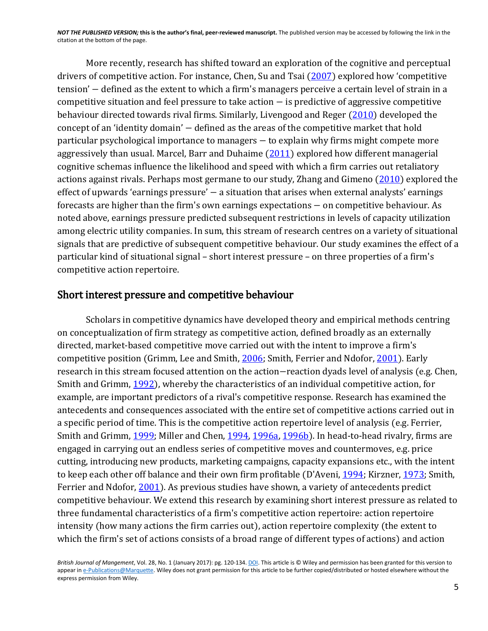More recently, research has shifted toward an exploration of the cognitive and perceptual drivers of competitive action. For instance, Chen, Su and Tsai [\(2007\)](http://onlinelibrary.wiley.com/doi/10.1111/1467-8551.12166/full#bjom12166-bib-0011) explored how 'competitive tension' – defined as the extent to which a firm's managers perceive a certain level of strain in a competitive situation and feel pressure to take action  $-$  is predictive of aggressive competitive behaviour directed towards rival firms. Similarly, Livengood and Reger [\(2010\)](http://onlinelibrary.wiley.com/doi/10.1111/1467-8551.12166/full#bjom12166-bib-0050) developed the concept of an 'identity domain' – defined as the areas of the competitive market that hold particular psychological importance to managers – to explain why firms might compete more aggressively than usual. Marcel, Barr and Duhaime  $(2011)$  explored how different managerial cognitive schemas influence the likelihood and speed with which a firm carries out retaliatory actions against rivals. Perhaps most germane to our study, Zhang and Gimeno [\(2010\)](http://onlinelibrary.wiley.com/doi/10.1111/1467-8551.12166/full#bjom12166-bib-0067) explored the effect of upwards 'earnings pressure' – a situation that arises when external analysts' earnings forecasts are higher than the firm's own earnings expectations − on competitive behaviour. As noted above, earnings pressure predicted subsequent restrictions in levels of capacity utilization among electric utility companies. In sum, this stream of research centres on a variety of situational signals that are predictive of subsequent competitive behaviour. Our study examines the effect of a particular kind of situational signal – short interest pressure – on three properties of a firm's competitive action repertoire.

#### Short interest pressure and competitive behaviour

Scholars in competitive dynamics have developed theory and empirical methods centring on conceptualization of firm strategy as competitive action, defined broadly as an externally directed, market-based competitive move carried out with the intent to improve a firm's competitive position (Grimm, Lee and Smith[, 2006;](http://onlinelibrary.wiley.com/doi/10.1111/1467-8551.12166/full#bjom12166-bib-0034) Smith, Ferrier and Ndofor, [2001\)](http://onlinelibrary.wiley.com/doi/10.1111/1467-8551.12166/full#bjom12166-bib-0060). Early research in this stream focused attention on the action−reaction dyads level of analysis (e.g. Chen, Smith and Grimm, [1992\)](http://onlinelibrary.wiley.com/doi/10.1111/1467-8551.12166/full#bjom12166-bib-0010), whereby the characteristics of an individual competitive action, for example, are important predictors of a rival's competitive response. Research has examined the antecedents and consequences associated with the entire set of competitive actions carried out in a specific period of time. This is the competitive action repertoire level of analysis (e.g. Ferrier, Smith and Grimm, [1999;](http://onlinelibrary.wiley.com/doi/10.1111/1467-8551.12166/full#bjom12166-bib-0026) Miller and Chen, [1994,](http://onlinelibrary.wiley.com/doi/10.1111/1467-8551.12166/full#bjom12166-bib-0052) [1996a,](http://onlinelibrary.wiley.com/doi/10.1111/1467-8551.12166/full#bjom12166-bib-0053) [1996b\)](http://onlinelibrary.wiley.com/doi/10.1111/1467-8551.12166/full#bjom12166-bib-0054). In head-to-head rivalry, firms are engaged in carrying out an endless series of competitive moves and countermoves, e.g. price cutting, introducing new products, marketing campaigns, capacity expansions etc., with the intent to keep each other off balance and their own firm profitable (D'Aveni, [1994;](http://onlinelibrary.wiley.com/doi/10.1111/1467-8551.12166/full#bjom12166-bib-0014) Kirzner, [1973;](http://onlinelibrary.wiley.com/doi/10.1111/1467-8551.12166/full#bjom12166-bib-0045) Smith, Ferrier and Ndofor, [2001\)](http://onlinelibrary.wiley.com/doi/10.1111/1467-8551.12166/full#bjom12166-bib-0060). As previous studies have shown, a variety of antecedents predict competitive behaviour. We extend this research by examining short interest pressure as related to three fundamental characteristics of a firm's competitive action repertoire: action repertoire intensity (how many actions the firm carries out), action repertoire complexity (the extent to which the firm's set of actions consists of a broad range of different types of actions) and action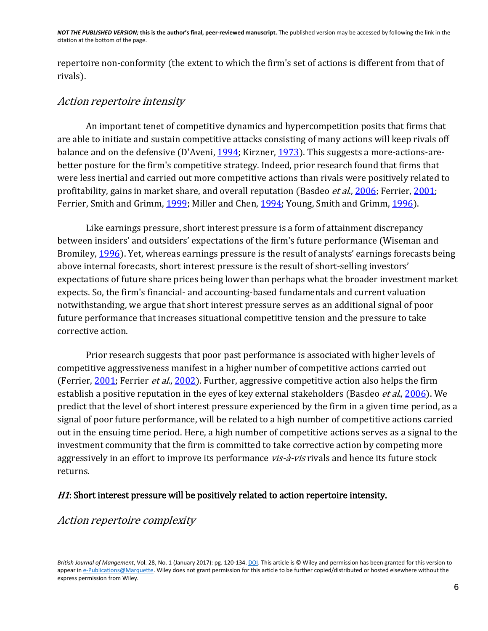repertoire non-conformity (the extent to which the firm's set of actions is different from that of rivals).

#### Action repertoire intensity

An important tenet of competitive dynamics and hypercompetition posits that firms that are able to initiate and sustain competitive attacks consisting of many actions will keep rivals off balance and on the defensive (D'Aveni, [1994;](http://onlinelibrary.wiley.com/doi/10.1111/1467-8551.12166/full#bjom12166-bib-0014) Kirzner, [1973\)](http://onlinelibrary.wiley.com/doi/10.1111/1467-8551.12166/full#bjom12166-bib-0045). This suggests a more-actions-arebetter posture for the firm's competitive strategy. Indeed, prior research found that firms that were less inertial and carried out more competitive actions than rivals were positively related to profitability, gains in market share, and overall reputation (Basdeo *et al.*, [2006;](http://onlinelibrary.wiley.com/doi/10.1111/1467-8551.12166/full#bjom12166-bib-0003) Ferrier, [2001;](http://onlinelibrary.wiley.com/doi/10.1111/1467-8551.12166/full#bjom12166-bib-0024) Ferrier, Smith and Grimm, [1999;](http://onlinelibrary.wiley.com/doi/10.1111/1467-8551.12166/full#bjom12166-bib-0026) Miller and Chen, [1994;](http://onlinelibrary.wiley.com/doi/10.1111/1467-8551.12166/full#bjom12166-bib-0052) Young, Smith and Grimm, [1996\)](http://onlinelibrary.wiley.com/doi/10.1111/1467-8551.12166/full#bjom12166-bib-0064).

Like earnings pressure, short interest pressure is a form of attainment discrepancy between insiders' and outsiders' expectations of the firm's future performance (Wiseman and Bromiley, [1996\)](http://onlinelibrary.wiley.com/doi/10.1111/1467-8551.12166/full#bjom12166-bib-0063). Yet, whereas earnings pressure is the result of analysts' earnings forecasts being above internal forecasts, short interest pressure is the result of short-selling investors' expectations of future share prices being lower than perhaps what the broader investment market expects. So, the firm's financial- and accounting-based fundamentals and current valuation notwithstanding, we argue that short interest pressure serves as an additional signal of poor future performance that increases situational competitive tension and the pressure to take corrective action.

Prior research suggests that poor past performance is associated with higher levels of competitive aggressiveness manifest in a higher number of competitive actions carried out (Ferrier,  $2001$ ; Ferrier *et al.*,  $2002$ ). Further, aggressive competitive action also helps the firm establish a positive reputation in the eyes of key external stakeholders (Basdeo *et al.*, [2006\)](http://onlinelibrary.wiley.com/doi/10.1111/1467-8551.12166/full#bjom12166-bib-0003). We predict that the level of short interest pressure experienced by the firm in a given time period, as a signal of poor future performance, will be related to a high number of competitive actions carried out in the ensuing time period. Here, a high number of competitive actions serves as a signal to the investment community that the firm is committed to take corrective action by competing more aggressively in an effort to improve its performance vis-à-vis rivals and hence its future stock returns.

#### H1: Short interest pressure will be positively related to action repertoire intensity.

Action repertoire complexity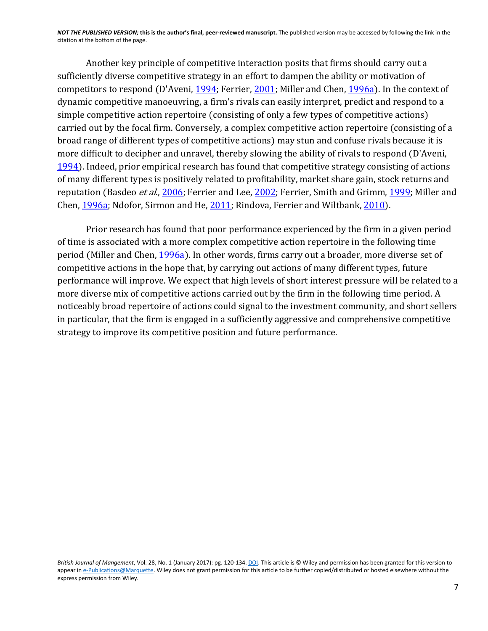Another key principle of competitive interaction posits that firms should carry out a sufficiently diverse competitive strategy in an effort to dampen the ability or motivation of competitors to respond (D'Aveni, [1994;](http://onlinelibrary.wiley.com/doi/10.1111/1467-8551.12166/full#bjom12166-bib-0014) Ferrier, [2001;](http://onlinelibrary.wiley.com/doi/10.1111/1467-8551.12166/full#bjom12166-bib-0024) Miller and Chen, [1996a\)](http://onlinelibrary.wiley.com/doi/10.1111/1467-8551.12166/full#bjom12166-bib-0053). In the context of dynamic competitive manoeuvring, a firm's rivals can easily interpret, predict and respond to a simple competitive action repertoire (consisting of only a few types of competitive actions) carried out by the focal firm. Conversely, a complex competitive action repertoire (consisting of a broad range of different types of competitive actions) may stun and confuse rivals because it is more difficult to decipher and unravel, thereby slowing the ability of rivals to respond (D'Aveni, [1994\)](http://onlinelibrary.wiley.com/doi/10.1111/1467-8551.12166/full#bjom12166-bib-0014). Indeed, prior empirical research has found that competitive strategy consisting of actions of many different types is positively related to profitability, market share gain, stock returns and reputation (Basdeo et al., [2006;](http://onlinelibrary.wiley.com/doi/10.1111/1467-8551.12166/full#bjom12166-bib-0003) Ferrier and Lee[, 2002;](http://onlinelibrary.wiley.com/doi/10.1111/1467-8551.12166/full#bjom12166-bib-0025) Ferrier, Smith and Grimm[, 1999;](http://onlinelibrary.wiley.com/doi/10.1111/1467-8551.12166/full#bjom12166-bib-0026) Miller and Chen, [1996a;](http://onlinelibrary.wiley.com/doi/10.1111/1467-8551.12166/full#bjom12166-bib-0053) Ndofor, Sirmon and He, [2011;](http://onlinelibrary.wiley.com/doi/10.1111/1467-8551.12166/full#bjom12166-bib-0055) Rindova, Ferrier and Wiltbank, [2010\)](http://onlinelibrary.wiley.com/doi/10.1111/1467-8551.12166/full#bjom12166-bib-0058).

Prior research has found that poor performance experienced by the firm in a given period of time is associated with a more complex competitive action repertoire in the following time period (Miller and Chen, [1996a\)](http://onlinelibrary.wiley.com/doi/10.1111/1467-8551.12166/full#bjom12166-bib-0053). In other words, firms carry out a broader, more diverse set of competitive actions in the hope that, by carrying out actions of many different types, future performance will improve. We expect that high levels of short interest pressure will be related to a more diverse mix of competitive actions carried out by the firm in the following time period. A noticeably broad repertoire of actions could signal to the investment community, and short sellers in particular, that the firm is engaged in a sufficiently aggressive and comprehensive competitive strategy to improve its competitive position and future performance.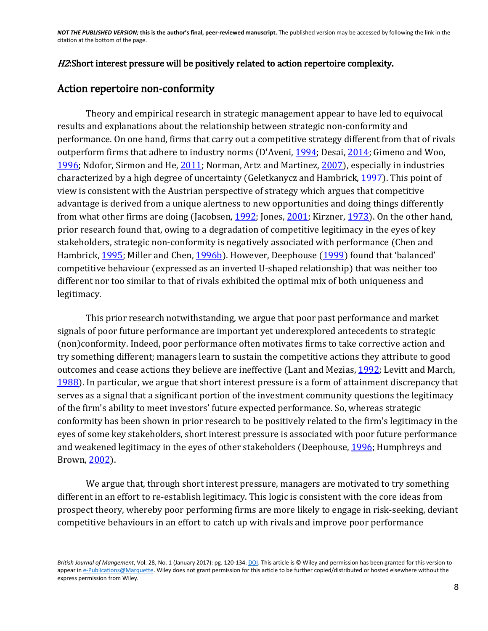#### H2:Short interest pressure will be positively related to action repertoire complexity.

#### Action repertoire non-conformity

Theory and empirical research in strategic management appear to have led to equivocal results and explanations about the relationship between strategic non-conformity and performance. On one hand, firms that carry out a competitive strategy different from that of rivals outperform firms that adhere to industry norms (D'Aveni, [1994;](http://onlinelibrary.wiley.com/doi/10.1111/1467-8551.12166/full#bjom12166-bib-0014) Desai, [2014;](http://onlinelibrary.wiley.com/doi/10.1111/1467-8551.12166/full#bjom12166-bib-0020) Gimeno and Woo, [1996;](http://onlinelibrary.wiley.com/doi/10.1111/1467-8551.12166/full#bjom12166-bib-0031) Ndofor, Sirmon and He, [2011;](http://onlinelibrary.wiley.com/doi/10.1111/1467-8551.12166/full#bjom12166-bib-0055) Norman, Artz and Martinez, [2007\)](http://onlinelibrary.wiley.com/doi/10.1111/1467-8551.12166/full#bjom12166-bib-0056), especially in industries characterized by a high degree of uncertainty (Geletkanycz and Hambrick, [1997\)](http://onlinelibrary.wiley.com/doi/10.1111/1467-8551.12166/full#bjom12166-bib-0030). This point of view is consistent with the Austrian perspective of strategy which argues that competitive advantage is derived from a unique alertness to new opportunities and doing things differently from what other firms are doing (Jacobsen, [1992;](http://onlinelibrary.wiley.com/doi/10.1111/1467-8551.12166/full#bjom12166-bib-0039) Jones, [2001;](http://onlinelibrary.wiley.com/doi/10.1111/1467-8551.12166/full#bjom12166-bib-0040) Kirzner, [1973\)](http://onlinelibrary.wiley.com/doi/10.1111/1467-8551.12166/full#bjom12166-bib-0045). On the other hand, prior research found that, owing to a degradation of competitive legitimacy in the eyes of key stakeholders, strategic non-conformity is negatively associated with performance (Chen and Hambrick, [1995;](http://onlinelibrary.wiley.com/doi/10.1111/1467-8551.12166/full#bjom12166-bib-0006) Miller and Chen, [1996b\)](http://onlinelibrary.wiley.com/doi/10.1111/1467-8551.12166/full#bjom12166-bib-0054). However, Deephouse [\(1999\)](http://onlinelibrary.wiley.com/doi/10.1111/1467-8551.12166/full#bjom12166-bib-0017) found that 'balanced' competitive behaviour (expressed as an inverted U-shaped relationship) that was neither too different nor too similar to that of rivals exhibited the optimal mix of both uniqueness and legitimacy.

This prior research notwithstanding, we argue that poor past performance and market signals of poor future performance are important yet underexplored antecedents to strategic (non)conformity. Indeed, poor performance often motivates firms to take corrective action and try something different; managers learn to sustain the competitive actions they attribute to good outcomes and cease actions they believe are ineffective (Lant and Mezias[, 1992;](http://onlinelibrary.wiley.com/doi/10.1111/1467-8551.12166/full#bjom12166-bib-0046) Levitt and March, [1988\)](http://onlinelibrary.wiley.com/doi/10.1111/1467-8551.12166/full#bjom12166-bib-0049). In particular, we argue that short interest pressure is a form of attainment discrepancy that serves as a signal that a significant portion of the investment community questions the legitimacy of the firm's ability to meet investors' future expected performance. So, whereas strategic conformity has been shown in prior research to be positively related to the firm's legitimacy in the eyes of some key stakeholders, short interest pressure is associated with poor future performance and weakened legitimacy in the eyes of other stakeholders (Deephouse, [1996;](http://onlinelibrary.wiley.com/doi/10.1111/1467-8551.12166/full#bjom12166-bib-0016) Humphreys and Brown, [2002\)](http://onlinelibrary.wiley.com/doi/10.1111/1467-8551.12166/full#bjom12166-bib-0037).

We argue that, through short interest pressure, managers are motivated to try something different in an effort to re-establish legitimacy. This logic is consistent with the core ideas from prospect theory, whereby poor performing firms are more likely to engage in risk-seeking, deviant competitive behaviours in an effort to catch up with rivals and improve poor performance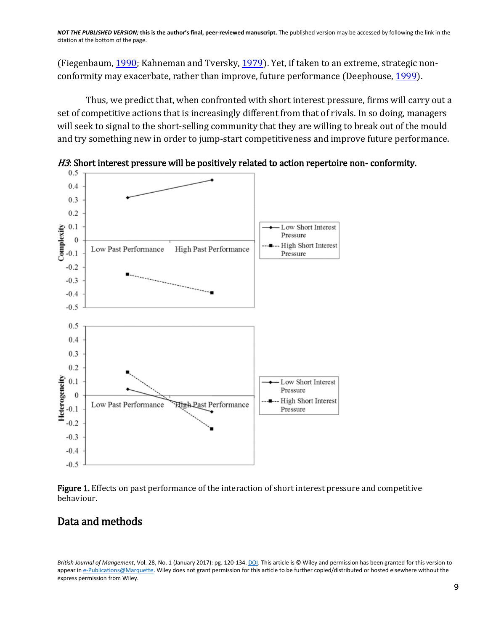(Fiegenbaum, [1990;](http://onlinelibrary.wiley.com/doi/10.1111/1467-8551.12166/full#bjom12166-bib-0028) Kahneman and Tversky, [1979\)](http://onlinelibrary.wiley.com/doi/10.1111/1467-8551.12166/full#bjom12166-bib-0041). Yet, if taken to an extreme, strategic nonconformity may exacerbate, rather than improve, future performance (Deephouse, [1999\)](http://onlinelibrary.wiley.com/doi/10.1111/1467-8551.12166/full#bjom12166-bib-0017).

Thus, we predict that, when confronted with short interest pressure, firms will carry out a set of competitive actions that is increasingly different from that of rivals. In so doing, managers will seek to signal to the short-selling community that they are willing to break out of the mould and try something new in order to jump-start competitiveness and improve future performance.







#### Data and methods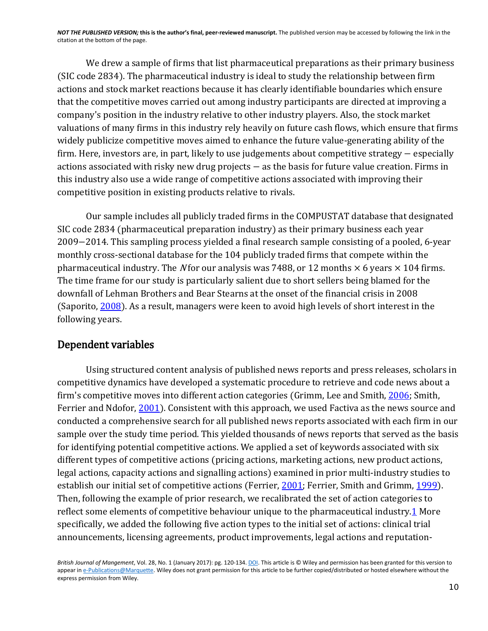We drew a sample of firms that list pharmaceutical preparations as their primary business (SIC code 2834). The pharmaceutical industry is ideal to study the relationship between firm actions and stock market reactions because it has clearly identifiable boundaries which ensure that the competitive moves carried out among industry participants are directed at improving a company's position in the industry relative to other industry players. Also, the stock market valuations of many firms in this industry rely heavily on future cash flows, which ensure that firms widely publicize competitive moves aimed to enhance the future value-generating ability of the firm. Here, investors are, in part, likely to use judgements about competitive strategy − especially actions associated with risky new drug projects − as the basis for future value creation. Firms in this industry also use a wide range of competitive actions associated with improving their competitive position in existing products relative to rivals.

Our sample includes all publicly traded firms in the COMPUSTAT database that designated SIC code 2834 (pharmaceutical preparation industry) as their primary business each year 2009−2014. This sampling process yielded a final research sample consisting of a pooled, 6-year monthly cross-sectional database for the 104 publicly traded firms that compete within the pharmaceutical industry. The *N* for our analysis was 7488, or 12 months  $\times$  6 years  $\times$  104 firms. The time frame for our study is particularly salient due to short sellers being blamed for the downfall of Lehman Brothers and Bear Stearns at the onset of the financial crisis in 2008 (Saporito[, 2008\)](http://onlinelibrary.wiley.com/doi/10.1111/1467-8551.12166/full#bjom12166-bib-0059). As a result, managers were keen to avoid high levels of short interest in the following years.

#### Dependent variables

Using structured content analysis of published news reports and press releases, scholars in competitive dynamics have developed a systematic procedure to retrieve and code news about a firm's competitive moves into different action categories (Grimm, Lee and Smith, [2006;](http://onlinelibrary.wiley.com/doi/10.1111/1467-8551.12166/full#bjom12166-bib-0034) Smith, Ferrier and Ndofor, [2001\)](http://onlinelibrary.wiley.com/doi/10.1111/1467-8551.12166/full#bjom12166-bib-0060). Consistent with this approach, we used Factiva as the news source and conducted a comprehensive search for all published news reports associated with each firm in our sample over the study time period. This yielded thousands of news reports that served as the basis for identifying potential competitive actions. We applied a set of keywords associated with six different types of competitive actions (pricing actions, marketing actions, new product actions, legal actions, capacity actions and signalling actions) examined in prior multi-industry studies to establish our initial set of competitive actions (Ferrier, [2001;](http://onlinelibrary.wiley.com/doi/10.1111/1467-8551.12166/full#bjom12166-bib-0024) Ferrier, Smith and Grimm, [1999\)](http://onlinelibrary.wiley.com/doi/10.1111/1467-8551.12166/full#bjom12166-bib-0026). Then, following the example of prior research, we recalibrated the set of action categories to reflect some elements of competitive behaviour unique to the pharmaceutical industry.<sup>1</sup> More specifically, we added the following five action types to the initial set of actions: clinical trial announcements, licensing agreements, product improvements, legal actions and reputation-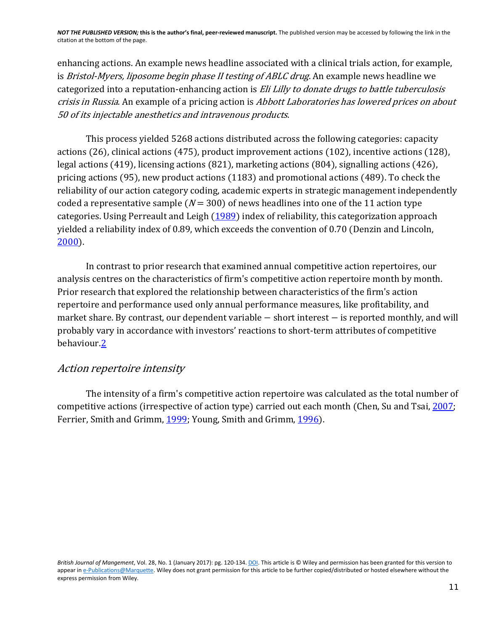enhancing actions. An example news headline associated with a clinical trials action, for example, is *Bristol-Myers, liposome begin phase II testing of ABLC drug.* An example news headline we categorized into a reputation-enhancing action is Eli Lilly to donate drugs to battle tuberculosis crisis in Russia. An example of a pricing action is Abbott Laboratories has lowered prices on about 50 of its injectable anesthetics and intravenous products.

This process yielded 5268 actions distributed across the following categories: capacity actions (26), clinical actions (475), product improvement actions (102), incentive actions (128), legal actions (419), licensing actions (821), marketing actions (804), signalling actions (426), pricing actions (95), new product actions (1183) and promotional actions (489). To check the reliability of our action category coding, academic experts in strategic management independently coded a representative sample ( $N = 300$ ) of news headlines into one of the 11 action type categories. Using Perreault and Leigh [\(1989\)](http://onlinelibrary.wiley.com/doi/10.1111/1467-8551.12166/full#bjom12166-bib-0057) index of reliability, this categorization approach yielded a reliability index of 0.89, which exceeds the convention of 0.70 (Denzin and Lincoln, [2000\)](http://onlinelibrary.wiley.com/doi/10.1111/1467-8551.12166/full#bjom12166-bib-0019).

In contrast to prior research that examined annual competitive action repertoires, our analysis centres on the characteristics of firm's competitive action repertoire month by month. Prior research that explored the relationship between characteristics of the firm's action repertoire and performance used only annual performance measures, like profitability, and market share. By contrast, our dependent variable – short interest – is reported monthly, and will probably vary in accordance with investors' reactions to short-term attributes of competitive behaviou[r.2](http://onlinelibrary.wiley.com/doi/10.1111/1467-8551.12166/full#bjom12166-note-0002)

#### Action repertoire intensity

The intensity of a firm's competitive action repertoire was calculated as the total number of competitive actions (irrespective of action type) carried out each month (Chen, Su and Tsai[, 2007;](http://onlinelibrary.wiley.com/doi/10.1111/1467-8551.12166/full#bjom12166-bib-0011) Ferrier, Smith and Grimm, [1999;](http://onlinelibrary.wiley.com/doi/10.1111/1467-8551.12166/full#bjom12166-bib-0026) Young, Smith and Grimm, [1996\)](http://onlinelibrary.wiley.com/doi/10.1111/1467-8551.12166/full#bjom12166-bib-0064).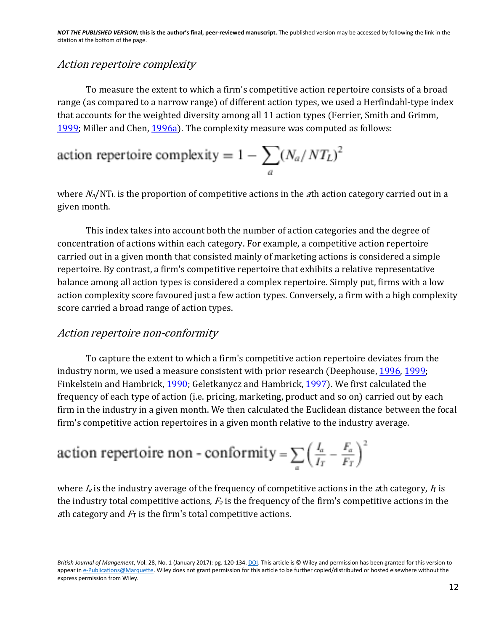#### Action repertoire complexity

To measure the extent to which a firm's competitive action repertoire consists of a broad range (as compared to a narrow range) of different action types, we used a Herfindahl-type index that accounts for the weighted diversity among all 11 action types (Ferrier, Smith and Grimm, [1999;](http://onlinelibrary.wiley.com/doi/10.1111/1467-8551.12166/full#bjom12166-bib-0026) Miller and Chen, [1996a\)](http://onlinelibrary.wiley.com/doi/10.1111/1467-8551.12166/full#bjom12166-bib-0053). The complexity measure was computed as follows:

action repertoire complexity = 
$$
1 - \sum_a (N_a / NT_L)^2
$$

where  $N_a/NT_L$  is the proportion of competitive actions in the  $a$ th action category carried out in a given month.

This index takes into account both the number of action categories and the degree of concentration of actions within each category. For example, a competitive action repertoire carried out in a given month that consisted mainly of marketing actions is considered a simple repertoire. By contrast, a firm's competitive repertoire that exhibits a relative representative balance among all action types is considered a complex repertoire. Simply put, firms with a low action complexity score favoured just a few action types. Conversely, a firm with a high complexity score carried a broad range of action types.

#### Action repertoire non-conformity

To capture the extent to which a firm's competitive action repertoire deviates from the industry norm, we used a measure consistent with prior research (Deephouse, [1996,](http://onlinelibrary.wiley.com/doi/10.1111/1467-8551.12166/full#bjom12166-bib-0016) [1999;](http://onlinelibrary.wiley.com/doi/10.1111/1467-8551.12166/full#bjom12166-bib-0017) Finkelstein and Hambrick, [1990;](http://onlinelibrary.wiley.com/doi/10.1111/1467-8551.12166/full#bjom12166-bib-0200) Geletkanycz and Hambrick[, 1997\)](http://onlinelibrary.wiley.com/doi/10.1111/1467-8551.12166/full#bjom12166-bib-0030). We first calculated the frequency of each type of action (i.e. pricing, marketing, product and so on) carried out by each firm in the industry in a given month. We then calculated the Euclidean distance between the focal firm's competitive action repertoires in a given month relative to the industry average.

action representative non-conformity = 
$$
\sum_{a} \left( \frac{I_a}{I_T} - \frac{F_a}{F_T} \right)^2
$$

where  $I_a$  is the industry average of the frequency of competitive actions in the ath category,  $I_f$  is the industry total competitive actions,  $F_a$  is the frequency of the firm's competitive actions in the ath category and  $F<sub>T</sub>$  is the firm's total competitive actions.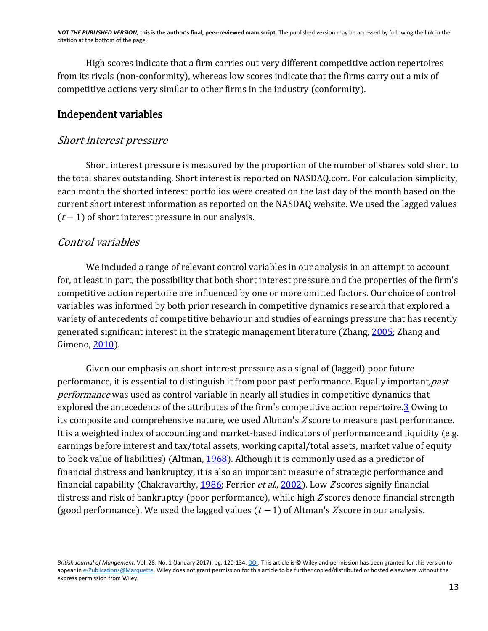High scores indicate that a firm carries out very different competitive action repertoires from its rivals (non-conformity), whereas low scores indicate that the firms carry out a mix of competitive actions very similar to other firms in the industry (conformity).

#### Independent variables

#### Short interest pressure

Short interest pressure is measured by the proportion of the number of shares sold short to the total shares outstanding. Short interest is reported on NASDAQ.com. For calculation simplicity, each month the shorted interest portfolios were created on the last day of the month based on the current short interest information as reported on the NASDAQ website. We used the lagged values  $(t-1)$  of short interest pressure in our analysis.

#### Control variables

We included a range of relevant control variables in our analysis in an attempt to account for, at least in part, the possibility that both short interest pressure and the properties of the firm's competitive action repertoire are influenced by one or more omitted factors. Our choice of control variables was informed by both prior research in competitive dynamics research that explored a variety of antecedents of competitive behaviour and studies of earnings pressure that has recently generated significant interest in the strategic management literature (Zhang, [2005;](http://onlinelibrary.wiley.com/doi/10.1111/1467-8551.12166/full#bjom12166-bib-0066) Zhang and Gimeno[, 2010\)](http://onlinelibrary.wiley.com/doi/10.1111/1467-8551.12166/full#bjom12166-bib-0067).

Given our emphasis on short interest pressure as a signal of (lagged) poor future performance, it is essential to distinguish it from poor past performance. Equally important, past performance was used as control variable in nearly all studies in competitive dynamics that explored the antecedents of the attributes of the firm's competitive action repertoire.<sup>3</sup> Owing to its composite and comprehensive nature, we used Altman's <sup>Z</sup> score to measure past performance. It is a weighted index of accounting and market-based indicators of performance and liquidity (e.g. earnings before interest and tax/total assets, working capital/total assets, market value of equity to book value of liabilities) (Altman[, 1968\)](http://onlinelibrary.wiley.com/doi/10.1111/1467-8551.12166/full#bjom12166-bib-0002). Although it is commonly used as a predictor of financial distress and bankruptcy, it is also an important measure of strategic performance and financial capability (Chakravarthy, [1986;](http://onlinelibrary.wiley.com/doi/10.1111/1467-8551.12166/full#bjom12166-bib-0005) Ferrier et al., [2002\)](http://onlinelibrary.wiley.com/doi/10.1111/1467-8551.12166/full#bjom12166-bib-0027). Low Z scores signify financial distress and risk of bankruptcy (poor performance), while high <sup>Z</sup> scores denote financial strength (good performance). We used the lagged values  $(t - 1)$  of Altman's Z score in our analysis.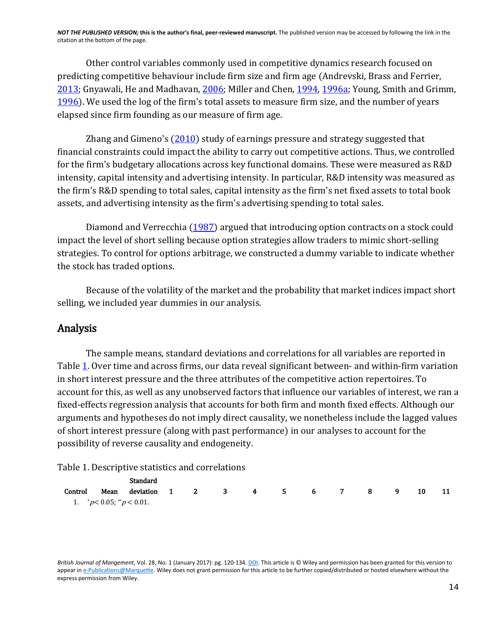Other control variables commonly used in competitive dynamics research focused on predicting competitive behaviour include firm size and firm age (Andrevski, Brass and Ferrier, [2013;](http://onlinelibrary.wiley.com/doi/10.1111/1467-8551.12166/full#bjom12166-bib-0068) Gnyawali, He and Madhavan, [2006;](http://onlinelibrary.wiley.com/doi/10.1111/1467-8551.12166/full#bjom12166-bib-0032) Miller and Chen, [1994,](http://onlinelibrary.wiley.com/doi/10.1111/1467-8551.12166/full#bjom12166-bib-0052) [1996a;](http://onlinelibrary.wiley.com/doi/10.1111/1467-8551.12166/full#bjom12166-bib-0053) Young, Smith and Grimm, [1996\)](http://onlinelibrary.wiley.com/doi/10.1111/1467-8551.12166/full#bjom12166-bib-0064). We used the log of the firm's total assets to measure firm size, and the number of years elapsed since firm founding as our measure of firm age.

Zhang and Gimeno's [\(2010\)](http://onlinelibrary.wiley.com/doi/10.1111/1467-8551.12166/full#bjom12166-bib-0067) study of earnings pressure and strategy suggested that financial constraints could impact the ability to carry out competitive actions. Thus, we controlled for the firm's budgetary allocations across key functional domains. These were measured as R&D intensity, capital intensity and advertising intensity. In particular, R&D intensity was measured as the firm's R&D spending to total sales, capital intensity as the firm's net fixed assets to total book assets, and advertising intensity as the firm's advertising spending to total sales.

Diamond and Verrecchia [\(1987\)](http://onlinelibrary.wiley.com/doi/10.1111/1467-8551.12166/full#bjom12166-bib-0022) argued that introducing option contracts on a stock could impact the level of short selling because option strategies allow traders to mimic short-selling strategies. To control for options arbitrage, we constructed a dummy variable to indicate whether the stock has traded options.

Because of the volatility of the market and the probability that market indices impact short selling, we included year dummies in our analysis.

#### Analysis

The sample means, standard deviations and correlations for all variables are reported in Table [1.](http://onlinelibrary.wiley.com/doi/10.1111/1467-8551.12166/full#bjom12166-tbl-0001) Over time and across firms, our data reveal significant between- and within-firm variation in short interest pressure and the three attributes of the competitive action repertoires. To account for this, as well as any unobserved factors that influence our variables of interest, we ran a fixed-effects regression analysis that accounts for both firm and month fixed effects. Although our arguments and hypotheses do not imply direct causality, we nonetheless include the lagged values of short interest pressure (along with past performance) in our analyses to account for the possibility of reverse causality and endogeneity.

Table 1. Descriptive statistics and correlations

|         | <b>Standard</b>                  |  |  |  |  |    |      |
|---------|----------------------------------|--|--|--|--|----|------|
| Control | Mean deviation 1 2 3 4 5 6 7 8 9 |  |  |  |  | 10 | - 11 |
|         | 1. $p < 0.05$ ; ** $p < 0.01$ .  |  |  |  |  |    |      |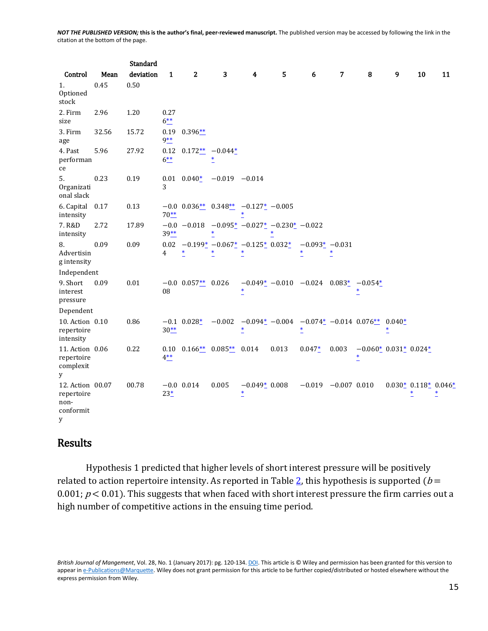|                                                          |       | <b>Standard</b> |                  |                                                        |                         |                                           |       |                                                                   |                |                                |          |                                                       |    |
|----------------------------------------------------------|-------|-----------------|------------------|--------------------------------------------------------|-------------------------|-------------------------------------------|-------|-------------------------------------------------------------------|----------------|--------------------------------|----------|-------------------------------------------------------|----|
| Control                                                  | Mean  | deviation       | $\mathbf{1}$     | $\mathbf{2}$                                           | $\overline{\mathbf{3}}$ | 4                                         | 5     | 6                                                                 | $\overline{7}$ | 8                              | 9        | 10                                                    | 11 |
| 1.<br>Optioned<br>stock                                  | 0.45  | 0.50            |                  |                                                        |                         |                                           |       |                                                                   |                |                                |          |                                                       |    |
| 2. Firm<br>size                                          | 2.96  | 1.20            | 0.27<br>$6^{**}$ |                                                        |                         |                                           |       |                                                                   |                |                                |          |                                                       |    |
| 3. Firm<br>age                                           | 32.56 | 15.72           | $9^{**}$         | $0.19$ $0.396**$                                       |                         |                                           |       |                                                                   |                |                                |          |                                                       |    |
| 4. Past<br>performan<br>ce                               | 5.96  | 27.92           | $6^{**}$         | $0.12$ $0.172**$                                       | $-0.044*$               |                                           |       |                                                                   |                |                                |          |                                                       |    |
| 5.<br>Organizati<br>onal slack                           | 0.23  | 0.19            | 3                | $0.01$ $0.040*$                                        | $-0.019$ $-0.014$       |                                           |       |                                                                   |                |                                |          |                                                       |    |
| 6. Capital<br>intensity                                  | 0.17  | 0.13            | $70^{**}$        | $-0.0$ $0.036^{**}$ $0.348^{**}$ $-0.127^{*}$ $-0.005$ |                         |                                           |       |                                                                   |                |                                |          |                                                       |    |
| 7. R&D<br>intensity                                      | 2.72  | 17.89           | $39^{**}$        | $-0.0 - 0.018$                                         | $\ast$                  | $-0.095^*$ $-0.027^*$ $-0.230^*$ $-0.022$ |       |                                                                   |                |                                |          |                                                       |    |
| 8.<br>Advertisin<br>g intensity                          | 0.09  | 0.09            | 4                | $0.02$ -0.199 $*$ -0.067 $*$ -0.125 $*$ 0.032 $*$      |                         |                                           |       | $-0.093^*$ $-0.031$                                               |                |                                |          |                                                       |    |
| Independent                                              |       |                 |                  |                                                        |                         |                                           |       |                                                                   |                |                                |          |                                                       |    |
| 9. Short<br>interest<br>pressure                         | 0.09  | 0.01            | 08               | $-0.0$ 0.057** 0.026                                   |                         | *                                         |       | $-0.049^*$ $-0.010$ $-0.024$ $0.083^*$ $-0.054^*$                 |                |                                |          |                                                       |    |
| Dependent                                                |       |                 |                  |                                                        |                         |                                           |       |                                                                   |                |                                |          |                                                       |    |
| 10. Action 0.10<br>repertoire<br>intensity               |       | 0.86            | $30^{**}$        | $-0.1$ 0.028*                                          | $-0.002$                |                                           |       | $-0.094*$ $-0.004$ $-0.074*$ $-0.014$ $0.076**$<br>$\overline{a}$ |                |                                | $0.040*$ |                                                       |    |
| 11. Action 0.06<br>repertoire<br>complexit<br>V          |       | 0.22            | $4^{**}$         | $0.10$ $0.166*$ $0.085*$ $0.014$                       |                         |                                           | 0.013 | $0.047*$                                                          | 0.003          | $-0.060$ * $0.031$ * $0.024$ * |          |                                                       |    |
| 12. Action 00.07<br>repertoire<br>non-<br>conformit<br>y |       | 00.78           | $23_{-}^{*}$     | $-0.0$ 0.014                                           | 0.005                   | $-0.049*$ 0.008<br>$\ast$                 |       | $-0.019$ $-0.007$ 0.010                                           |                |                                |          | $0.030_{-}^{*}$ 0.118 <sup>*</sup> 0.046 <sup>*</sup> |    |

### Results

Hypothesis 1 predicted that higher levels of short interest pressure will be positively related to action repertoire intensity. As reported in Table  $\frac{2}{2}$ , this hypothesis is supported ( $b =$ 0.001;  $p < 0.01$ ). This suggests that when faced with short interest pressure the firm carries out a high number of competitive actions in the ensuing time period.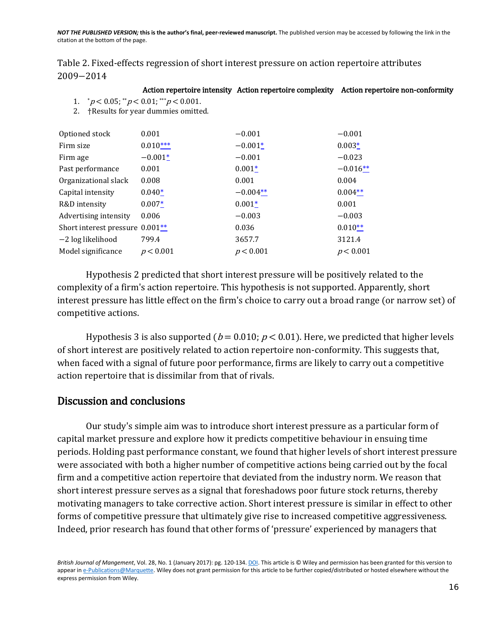Table 2. Fixed-effects regression of short interest pressure on action repertoire attributes 2009−2014

#### Action repertoire intensity Action repertoire complexity Action repertoire non-conformity

- 1.  ${}^*p < 0.05; {}^{**}p < 0.01; {}^{***}p < 0.001.$
- 2. †Results for year dummies omitted.

| Optioned stock                    | 0.001           | $-0.001$   | $-0.001$        |
|-----------------------------------|-----------------|------------|-----------------|
| Firm size                         | $0.010***$      | $-0.001*$  | $0.003_{-}^{*}$ |
| Firm age                          | $-0.001*$       | $-0.001$   | $-0.023$        |
| Past performance                  | 0.001           | $0.001*$   | $-0.016**$      |
| Organizational slack              | 0.008           | 0.001      | 0.004           |
| Capital intensity                 | $0.040_{-}^{*}$ | $-0.004**$ | $0.004**$       |
| R&D intensity                     | $0.007*$        | $0.001*$   | 0.001           |
| Advertising intensity             | 0.006           | $-0.003$   | $-0.003$        |
| Short interest pressure $0.001**$ |                 | 0.036      | $0.010**$       |
| -2 log likelihood                 | 799.4           | 3657.7     | 3121.4          |
| Model significance                | p < 0.001       | p < 0.001  | p < 0.001       |
|                                   |                 |            |                 |

Hypothesis 2 predicted that short interest pressure will be positively related to the complexity of a firm's action repertoire. This hypothesis is not supported. Apparently, short interest pressure has little effect on the firm's choice to carry out a broad range (or narrow set) of competitive actions.

Hypothesis 3 is also supported ( $b = 0.010$ ;  $p < 0.01$ ). Here, we predicted that higher levels of short interest are positively related to action repertoire non-conformity. This suggests that, when faced with a signal of future poor performance, firms are likely to carry out a competitive action repertoire that is dissimilar from that of rivals.

#### Discussion and conclusions

Our study's simple aim was to introduce short interest pressure as a particular form of capital market pressure and explore how it predicts competitive behaviour in ensuing time periods. Holding past performance constant, we found that higher levels of short interest pressure were associated with both a higher number of competitive actions being carried out by the focal firm and a competitive action repertoire that deviated from the industry norm. We reason that short interest pressure serves as a signal that foreshadows poor future stock returns, thereby motivating managers to take corrective action. Short interest pressure is similar in effect to other forms of competitive pressure that ultimately give rise to increased competitive aggressiveness. Indeed, prior research has found that other forms of 'pressure' experienced by managers that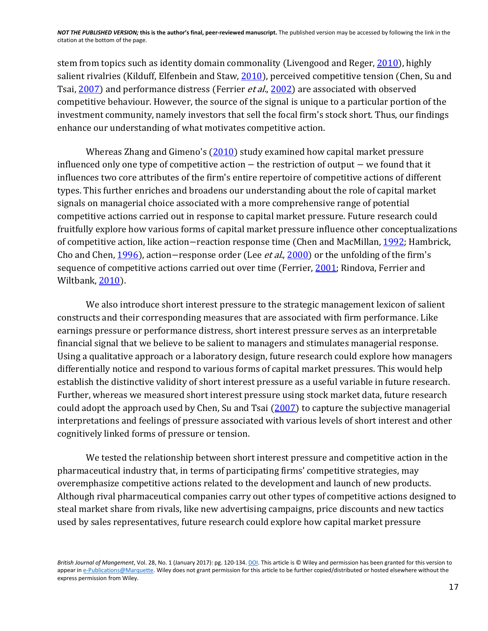stem from topics such as identity domain commonality (Livengood and Reger, [2010\)](http://onlinelibrary.wiley.com/doi/10.1111/1467-8551.12166/full#bjom12166-bib-0050), highly salient rivalries (Kilduff, Elfenbein and Staw[, 2010\)](http://onlinelibrary.wiley.com/doi/10.1111/1467-8551.12166/full#bjom12166-bib-0044), perceived competitive tension (Chen, Su and Tsai, [2007\)](http://onlinelibrary.wiley.com/doi/10.1111/1467-8551.12166/full#bjom12166-bib-0011) and performance distress (Ferrier et al.[, 2002\)](http://onlinelibrary.wiley.com/doi/10.1111/1467-8551.12166/full#bjom12166-bib-0027) are associated with observed competitive behaviour. However, the source of the signal is unique to a particular portion of the investment community, namely investors that sell the focal firm's stock short. Thus, our findings enhance our understanding of what motivates competitive action.

Whereas Zhang and Gimeno's [\(2010\)](http://onlinelibrary.wiley.com/doi/10.1111/1467-8551.12166/full#bjom12166-bib-0067) study examined how capital market pressure influenced only one type of competitive action − the restriction of output − we found that it influences two core attributes of the firm's entire repertoire of competitive actions of different types. This further enriches and broadens our understanding about the role of capital market signals on managerial choice associated with a more comprehensive range of potential competitive actions carried out in response to capital market pressure. Future research could fruitfully explore how various forms of capital market pressure influence other conceptualizations of competitive action, like action−reaction response time (Chen and MacMillan, [1992;](http://onlinelibrary.wiley.com/doi/10.1111/1467-8551.12166/full#bjom12166-bib-0007) Hambrick, Cho and Chen, [1996](http://onlinelibrary.wiley.com/doi/10.1111/1467-8551.12166/full#bjom12166-bib-0035)), action−response order (Lee et al., [2000\)](http://onlinelibrary.wiley.com/doi/10.1111/1467-8551.12166/full#bjom12166-bib-0047) or the unfolding of the firm's sequence of competitive actions carried out over time (Ferrier[, 2001;](http://onlinelibrary.wiley.com/doi/10.1111/1467-8551.12166/full#bjom12166-bib-0024) Rindova, Ferrier and Wiltbank, [2010\)](http://onlinelibrary.wiley.com/doi/10.1111/1467-8551.12166/full#bjom12166-bib-0058).

We also introduce short interest pressure to the strategic management lexicon of salient constructs and their corresponding measures that are associated with firm performance. Like earnings pressure or performance distress, short interest pressure serves as an interpretable financial signal that we believe to be salient to managers and stimulates managerial response. Using a qualitative approach or a laboratory design, future research could explore how managers differentially notice and respond to various forms of capital market pressures. This would help establish the distinctive validity of short interest pressure as a useful variable in future research. Further, whereas we measured short interest pressure using stock market data, future research could adopt the approach used by Chen, Su and Tsai [\(2007\)](http://onlinelibrary.wiley.com/doi/10.1111/1467-8551.12166/full#bjom12166-bib-0011) to capture the subjective managerial interpretations and feelings of pressure associated with various levels of short interest and other cognitively linked forms of pressure or tension.

We tested the relationship between short interest pressure and competitive action in the pharmaceutical industry that, in terms of participating firms' competitive strategies, may overemphasize competitive actions related to the development and launch of new products. Although rival pharmaceutical companies carry out other types of competitive actions designed to steal market share from rivals, like new advertising campaigns, price discounts and new tactics used by sales representatives, future research could explore how capital market pressure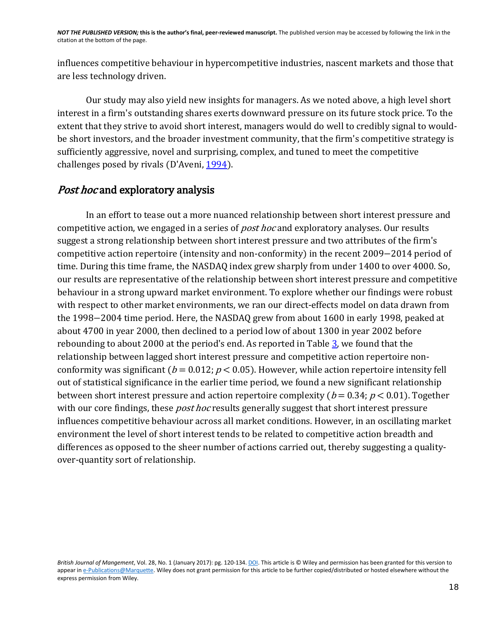influences competitive behaviour in hypercompetitive industries, nascent markets and those that are less technology driven.

Our study may also yield new insights for managers. As we noted above, a high level short interest in a firm's outstanding shares exerts downward pressure on its future stock price. To the extent that they strive to avoid short interest, managers would do well to credibly signal to wouldbe short investors, and the broader investment community, that the firm's competitive strategy is sufficiently aggressive, novel and surprising, complex, and tuned to meet the competitive challenges posed by rivals (D'Aveni[, 1994\)](http://onlinelibrary.wiley.com/doi/10.1111/1467-8551.12166/full#bjom12166-bib-0014).

#### Post hoc and exploratory analysis

In an effort to tease out a more nuanced relationship between short interest pressure and competitive action, we engaged in a series of *post hoc* and exploratory analyses. Our results suggest a strong relationship between short interest pressure and two attributes of the firm's competitive action repertoire (intensity and non-conformity) in the recent 2009−2014 period of time. During this time frame, the NASDAQ index grew sharply from under 1400 to over 4000. So, our results are representative of the relationship between short interest pressure and competitive behaviour in a strong upward market environment. To explore whether our findings were robust with respect to other market environments, we ran our direct-effects model on data drawn from the 1998−2004 time period. Here, the NASDAQ grew from about 1600 in early 1998, peaked at about 4700 in year 2000, then declined to a period low of about 1300 in year 2002 before rebounding to about 2000 at the period's end. As reported in Table  $\frac{3}{2}$ , we found that the relationship between lagged short interest pressure and competitive action repertoire nonconformity was significant ( $b = 0.012$ ;  $p < 0.05$ ). However, while action repertoire intensity fell out of statistical significance in the earlier time period, we found a new significant relationship between short interest pressure and action repertoire complexity ( $b = 0.34$ ;  $p < 0.01$ ). Together with our core findings, these *post hoc* results generally suggest that short interest pressure influences competitive behaviour across all market conditions. However, in an oscillating market environment the level of short interest tends to be related to competitive action breadth and differences as opposed to the sheer number of actions carried out, thereby suggesting a qualityover-quantity sort of relationship.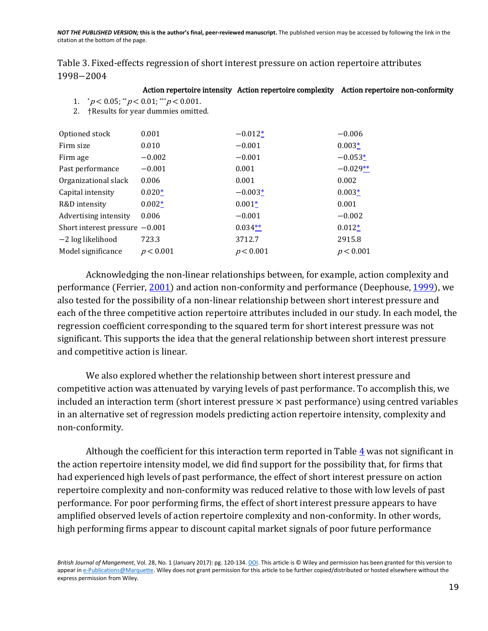Table 3. Fixed-effects regression of short interest pressure on action repertoire attributes 1998−2004

#### Action repertoire intensity Action repertoire complexity Action repertoire non-conformity

- 1.  ${}^*p < 0.05; {}^{**}p < 0.01; {}^{***}p < 0.001.$
- 2. †Results for year dummies omitted.

| 0.001                            | $-0.012*$  | $-0.006$        |
|----------------------------------|------------|-----------------|
| 0.010                            | $-0.001$   | $0.003_{-}^{*}$ |
| $-0.002$                         | $-0.001$   | $-0.053*$       |
| $-0.001$                         | 0.001      | $-0.029**$      |
| 0.006                            | 0.001      | 0.002           |
| $0.020_{-}^{*}$                  | $-0.003^*$ | $0.003_{-}^{*}$ |
| $0.002*$                         | $0.001*$   | 0.001           |
| 0.006                            | $-0.001$   | $-0.002$        |
| Short interest pressure $-0.001$ | $0.034**$  | $0.012^*$       |
| 723.3                            | 3712.7     | 2915.8          |
| p < 0.001                        | p < 0.001  | p < 0.001       |
|                                  |            |                 |

Acknowledging the non-linear relationships between, for example, action complexity and performance (Ferrier, [2001\)](http://onlinelibrary.wiley.com/doi/10.1111/1467-8551.12166/full#bjom12166-bib-0024) and action non-conformity and performance (Deephouse, [1999\)](http://onlinelibrary.wiley.com/doi/10.1111/1467-8551.12166/full#bjom12166-bib-0017), we also tested for the possibility of a non-linear relationship between short interest pressure and each of the three competitive action repertoire attributes included in our study. In each model, the regression coefficient corresponding to the squared term for short interest pressure was not significant. This supports the idea that the general relationship between short interest pressure and competitive action is linear.

We also explored whether the relationship between short interest pressure and competitive action was attenuated by varying levels of past performance. To accomplish this, we included an interaction term (short interest pressure  $\times$  past performance) using centred variables in an alternative set of regression models predicting action repertoire intensity, complexity and non-conformity.

Although the coefficient for this interaction term reported in Table  $\frac{4}{3}$  was not significant in the action repertoire intensity model, we did find support for the possibility that, for firms that had experienced high levels of past performance, the effect of short interest pressure on action repertoire complexity and non-conformity was reduced relative to those with low levels of past performance. For poor performing firms, the effect of short interest pressure appears to have amplified observed levels of action repertoire complexity and non-conformity. In other words, high performing firms appear to discount capital market signals of poor future performance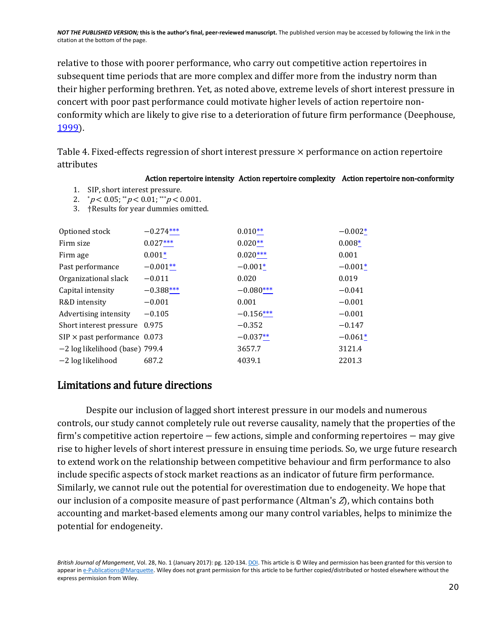relative to those with poorer performance, who carry out competitive action repertoires in subsequent time periods that are more complex and differ more from the industry norm than their higher performing brethren. Yet, as noted above, extreme levels of short interest pressure in concert with poor past performance could motivate higher levels of action repertoire nonconformity which are likely to give rise to a deterioration of future firm performance (Deephouse, [1999\)](http://onlinelibrary.wiley.com/doi/10.1111/1467-8551.12166/full#bjom12166-bib-0017).

Table 4. Fixed-effects regression of short interest pressure  $\times$  performance on action repertoire attributes

#### Action repertoire intensity Action repertoire complexity Action repertoire non-conformity

- 1. SIP, short interest pressure.
- 2.  ${}^*p < 0.05$ ;  ${}^*p < 0.01$ ;  ${}^{**}p < 0.001$ .
- 3. †Results for year dummies omitted.

| Optioned stock                      | $-0.274***$ | $0.010**$   | $-0.002*$ |
|-------------------------------------|-------------|-------------|-----------|
| Firm size                           | $0.027***$  | $0.020**$   | $0.008*$  |
| Firm age                            | $0.001*$    | $0.020***$  | 0.001     |
| Past performance                    | $-0.001**$  | $-0.001*$   | $-0.001*$ |
| Organizational slack                | $-0.011$    | 0.020       | 0.019     |
| Capital intensity                   | $-0.388***$ | $-0.080***$ | $-0.041$  |
| R&D intensity                       | $-0.001$    | 0.001       | $-0.001$  |
| Advertising intensity               | $-0.105$    | $-0.156***$ | $-0.001$  |
| Short interest pressure             | 0.975       | $-0.352$    | $-0.147$  |
| $SIP \times$ past performance 0.073 |             | $-0.037**$  | $-0.061*$ |
| -2 log likelihood (base) 799.4      |             | 3657.7      | 3121.4    |
| $-2$ log likelihood                 | 687.2       | 4039.1      | 2201.3    |

#### Limitations and future directions

Despite our inclusion of lagged short interest pressure in our models and numerous controls, our study cannot completely rule out reverse causality, namely that the properties of the firm's competitive action repertoire − few actions, simple and conforming repertoires – may give rise to higher levels of short interest pressure in ensuing time periods. So, we urge future research to extend work on the relationship between competitive behaviour and firm performance to also include specific aspects of stock market reactions as an indicator of future firm performance. Similarly, we cannot rule out the potential for overestimation due to endogeneity. We hope that our inclusion of a composite measure of past performance (Altman's <sup>Z</sup>), which contains both accounting and market-based elements among our many control variables, helps to minimize the potential for endogeneity.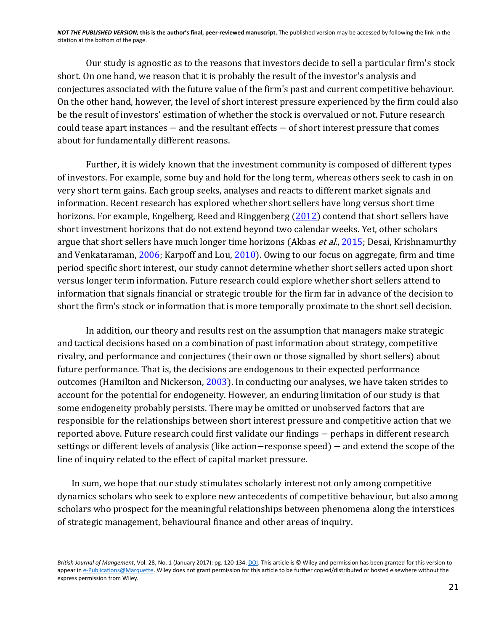Our study is agnostic as to the reasons that investors decide to sell a particular firm's stock short. On one hand, we reason that it is probably the result of the investor's analysis and conjectures associated with the future value of the firm's past and current competitive behaviour. On the other hand, however, the level of short interest pressure experienced by the firm could also be the result of investors' estimation of whether the stock is overvalued or not. Future research could tease apart instances – and the resultant effects – of short interest pressure that comes about for fundamentally different reasons.

Further, it is widely known that the investment community is composed of different types of investors. For example, some buy and hold for the long term, whereas others seek to cash in on very short term gains. Each group seeks, analyses and reacts to different market signals and information. Recent research has explored whether short sellers have long versus short time horizons. For example, Engelberg, Reed and Ringgenberg [\(2012\)](http://onlinelibrary.wiley.com/doi/10.1111/1467-8551.12166/full#bjom12166-bib-0023) contend that short sellers have short investment horizons that do not extend beyond two calendar weeks. Yet, other scholars argue that short sellers have much longer time horizons (Akbas et al.[, 2015;](http://onlinelibrary.wiley.com/doi/10.1111/1467-8551.12166/full#bjom12166-bib-0001) Desai, Krishnamurthy and Venkataraman, [2006;](http://onlinelibrary.wiley.com/doi/10.1111/1467-8551.12166/full#bjom12166-bib-0021) Karpoff and Lou, [2010\)](http://onlinelibrary.wiley.com/doi/10.1111/1467-8551.12166/full#bjom12166-bib-0042). Owing to our focus on aggregate, firm and time period specific short interest, our study cannot determine whether short sellers acted upon short versus longer term information. Future research could explore whether short sellers attend to information that signals financial or strategic trouble for the firm far in advance of the decision to short the firm's stock or information that is more temporally proximate to the short sell decision.

In addition, our theory and results rest on the assumption that managers make strategic and tactical decisions based on a combination of past information about strategy, competitive rivalry, and performance and conjectures (their own or those signalled by short sellers) about future performance. That is, the decisions are endogenous to their expected performance outcomes (Hamilton and Nickerson, [2003\)](http://onlinelibrary.wiley.com/doi/10.1111/1467-8551.12166/full#bjom12166-bib-0036). In conducting our analyses, we have taken strides to account for the potential for endogeneity. However, an enduring limitation of our study is that some endogeneity probably persists. There may be omitted or unobserved factors that are responsible for the relationships between short interest pressure and competitive action that we reported above. Future research could first validate our findings – perhaps in different research settings or different levels of analysis (like action–response speed) – and extend the scope of the line of inquiry related to the effect of capital market pressure.

In sum, we hope that our study stimulates scholarly interest not only among competitive dynamics scholars who seek to explore new antecedents of competitive behaviour, but also among scholars who prospect for the meaningful relationships between phenomena along the interstices of strategic management, behavioural finance and other areas of inquiry.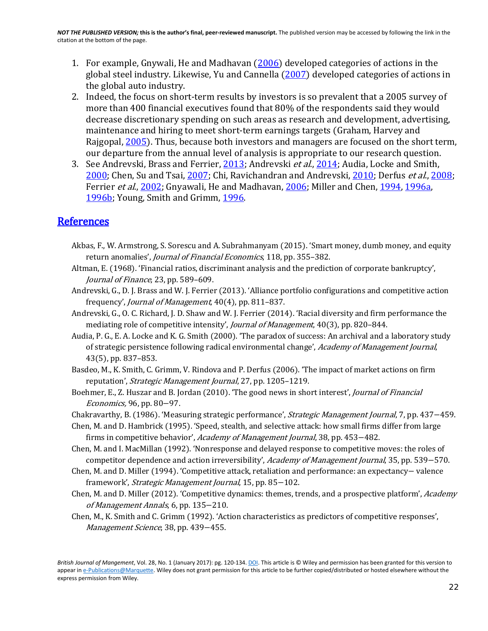- 1. For example, Gnywali, He and Madhavan [\(2006\)](http://onlinelibrary.wiley.com/doi/10.1111/1467-8551.12166/full#bjom12166-bib-0032) developed categories of actions in the global steel industry. Likewise, Yu and Cannella [\(2007\)](http://onlinelibrary.wiley.com/doi/10.1111/1467-8551.12166/full#bjom12166-bib-0065) developed categories of actions in the global auto industry.
- 2. Indeed, the focus on short-term results by investors is so prevalent that a 2005 survey of more than 400 financial executives found that 80% of the respondents said they would decrease discretionary spending on such areas as research and development, advertising, maintenance and hiring to meet short-term earnings targets (Graham, Harvey and Rajgopal[, 2005\)](http://onlinelibrary.wiley.com/doi/10.1111/1467-8551.12166/full#bjom12166-bib-0033). Thus, because both investors and managers are focused on the short term, our departure from the annual level of analysis is appropriate to our research question.
- 3. See Andrevski, Brass and Ferrier, [2013;](http://onlinelibrary.wiley.com/doi/10.1111/1467-8551.12166/full#bjom12166-bib-0068) Andrevski et al., [2014;](http://onlinelibrary.wiley.com/doi/10.1111/1467-8551.12166/full#bjom12166-bib-0069) Audia, Locke and Smith, [2000;](http://onlinelibrary.wiley.com/doi/10.1111/1467-8551.12166/full#bjom12166-bib-0070) Chen, Su and Tsai, [2007;](http://onlinelibrary.wiley.com/doi/10.1111/1467-8551.12166/full#bjom12166-bib-0011) Chi, Ravichandran and Andrevski, [2010;](http://onlinelibrary.wiley.com/doi/10.1111/1467-8551.12166/full#bjom12166-bib-0012) Derfus et al., [2008;](http://onlinelibrary.wiley.com/doi/10.1111/1467-8551.12166/full#bjom12166-bib-0071) Ferrier et al., [2002;](http://onlinelibrary.wiley.com/doi/10.1111/1467-8551.12166/full#bjom12166-bib-0027) Gnyawali, He and Madhavan, [2006;](http://onlinelibrary.wiley.com/doi/10.1111/1467-8551.12166/full#bjom12166-bib-0032) Miller and Chen, [1994,](http://onlinelibrary.wiley.com/doi/10.1111/1467-8551.12166/full#bjom12166-bib-0052) [1996a,](http://onlinelibrary.wiley.com/doi/10.1111/1467-8551.12166/full#bjom12166-bib-0053) [1996b;](http://onlinelibrary.wiley.com/doi/10.1111/1467-8551.12166/full#bjom12166-bib-0054) Young, Smith and Grimm, [1996.](http://onlinelibrary.wiley.com/doi/10.1111/1467-8551.12166/full#bjom12166-bib-0064)

## **References**

- Akbas, F., W. Armstrong, S. Sorescu and A. Subrahmanyam (2015). 'Smart money, dumb money, and equity return anomalies', *Journal of Financial Economics*, 118, pp. 355-382.
- Altman, E. (1968). 'Financial ratios, discriminant analysis and the prediction of corporate bankruptcy', Journal of Finance, 23, pp. 589–609.
- Andrevski, G., D. J. Brass and W. J. Ferrier (2013). 'Alliance portfolio configurations and competitive action frequency', Journal of Management, 40(4), pp. 811-837.
- Andrevski, G., O. C. Richard, J. D. Shaw and W. J. Ferrier (2014). 'Racial diversity and firm performance the mediating role of competitive intensity', *Journal of Management*, 40(3), pp. 820–844.
- Audia, P. G., E. A. Locke and K. G. Smith (2000). 'The paradox of success: An archival and a laboratory study of strategic persistence following radical environmental change', Academy of Management Journal, 43(5), pp. 837–853.
- Basdeo, M., K. Smith, C. Grimm, V. Rindova and P. Derfus (2006). 'The impact of market actions on firm reputation', Strategic Management Journal, 27, pp. 1205-1219.
- Boehmer, E., Z. Huszar and B. Jordan (2010). 'The good news in short interest', *Journal of Financial* Economics, 96, pp. 80−97.
- Chakravarthy, B. (1986). 'Measuring strategic performance', Strategic Management Journal, 7, pp. 437−459.
- Chen, M. and D. Hambrick (1995). 'Speed, stealth, and selective attack: how small firms differ from large firms in competitive behavior', Academy of Management Journal, 38, pp. 453–482.
- Chen, M. and I. MacMillan (1992). 'Nonresponse and delayed response to competitive moves: the roles of competitor dependence and action irreversibility', Academy of Management Journal, 35, pp. 539–570.
- Chen, M. and D. Miller (1994). 'Competitive attack, retaliation and performance: an expectancy− valence framework', Strategic Management Journal, 15, pp. 85-102.
- Chen, M. and D. Miller (2012). 'Competitive dynamics: themes, trends, and a prospective platform', Academy of Management Annals, 6, pp. 135−210.
- Chen, M., K. Smith and C. Grimm (1992). 'Action characteristics as predictors of competitive responses', Management Science, 38, pp. 439–455.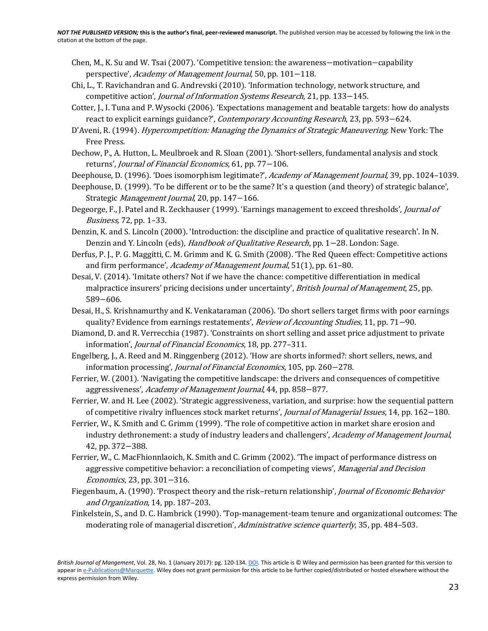- Chen, M., K. Su and W. Tsai (2007). 'Competitive tension: the awareness−motivation−capability perspective', Academy of Management Journal, 50, pp. 101–118.
- Chi, L., T. Ravichandran and G. Andrevski (2010). 'Information technology, network structure, and competitive action', Journal of Information Systems Research, 21, pp. 133−145.
- Cotter, J., I. Tuna and P. Wysocki (2006). 'Expectations management and beatable targets: how do analysts react to explicit earnings guidance?', *Contemporary Accounting Research*, 23, pp. 593–624.
- D'Aveni, R. (1994). *Hypercompetition: Managing the Dynamics of Strategic Maneuvering*. New York: The Free Press.
- Dechow, P., A. Hutton, L. Meulbroek and R. Sloan (2001). 'Short-sellers, fundamental analysis and stock returns', Journal of Financial Economics, 61, pp. 77−106.
- Deephouse, D. (1996). 'Does isomorphism legitimate?', Academy of Management Journal, 39, pp. 1024-1039.
- Deephouse, D. (1999). 'To be different or to be the same? It's a question (and theory) of strategic balance', Strategic Management Journal, 20, pp. 147−166.
- Degeorge, F., J. Patel and R. Zeckhauser (1999). 'Earnings management to exceed thresholds', *Journal of* Business, 72, pp. 1–33.
- Denzin, K. and S. Lincoln (2000). 'Introduction: the discipline and practice of qualitative research'. In N. Denzin and Y. Lincoln (eds), Handbook of Qualitative Research, pp. 1−28. London: Sage.
- Derfus, P. J., P. G. Maggitti, C. M. Grimm and K. G. Smith (2008). 'The Red Queen effect: Competitive actions and firm performance', Academy of Management Journal, 51(1), pp. 61-80.
- Desai, V. (2014). 'Imitate others? Not if we have the chance: competitive differentiation in medical malpractice insurers' pricing decisions under uncertainty', British Journal of Management, 25, pp. 589−606.
- Desai, H., S. Krishnamurthy and K. Venkataraman (2006). 'Do short sellers target firms with poor earnings quality? Evidence from earnings restatements', Review of Accounting Studies, 11, pp. 71–90.
- Diamond, D. and R. Verrecchia (1987). 'Constraints on short selling and asset price adjustment to private information', Journal of Financial Economics, 18, pp. 277–311.
- Engelberg, J., A. Reed and M. Ringgenberg (2012). 'How are shorts informed?: short sellers, news, and information processing', Journal of Financial Economics, 105, pp. 260−278.
- Ferrier, W. (2001). 'Navigating the competitive landscape: the drivers and consequences of competitive aggressiveness', Academy of Management Journal, 44, pp. 858−877.
- Ferrier, W. and H. Lee (2002). 'Strategic aggressiveness, variation, and surprise: how the sequential pattern of competitive rivalry influences stock market returns', Journal of Managerial Issues, 14, pp. 162−180.
- Ferrier, W., K. Smith and C. Grimm (1999). 'The role of competitive action in market share erosion and industry dethronement: a study of industry leaders and challengers', Academy of Management Journal, 42, pp. 372−388.
- Ferrier, W., C. MacFhionnlaoich, K. Smith and C. Grimm (2002). 'The impact of performance distress on aggressive competitive behavior: a reconciliation of competing views', Managerial and Decision Economics, 23, pp. 301−316.
- Fiegenbaum, A. (1990). 'Prospect theory and the risk–return relationship', *Journal of Economic Behavior* and Organization, 14, pp. 187–203.
- Finkelstein, S., and D. C. Hambrick (1990). 'Top-management-team tenure and organizational outcomes: The moderating role of managerial discretion', *Administrative science quarterly*, 35, pp. 484–503.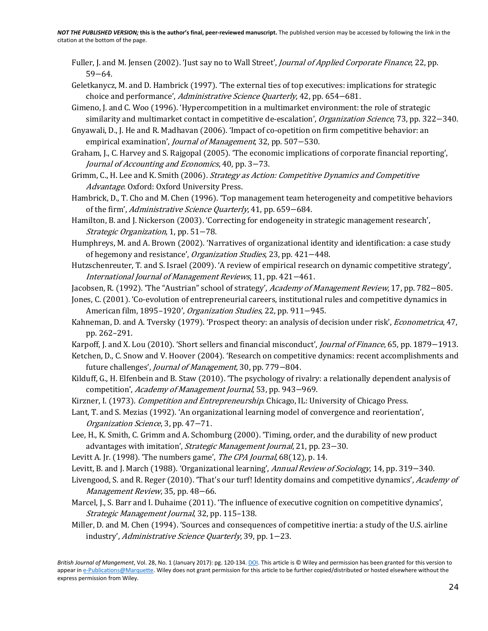- Fuller, J. and M. Jensen (2002). 'Just say no to Wall Street', *Journal of Applied Corporate Finance*, 22, pp. 59−64.
- Geletkanycz, M. and D. Hambrick (1997). 'The external ties of top executives: implications for strategic choice and performance', Administrative Science Quarterly, 42, pp. 654−681.
- Gimeno, J. and C. Woo (1996). 'Hypercompetition in a multimarket environment: the role of strategic similarity and multimarket contact in competitive de-escalation', Organization Science, 73, pp. 322–340.

Gnyawali, D., J. He and R. Madhavan (2006). 'Impact of co-opetition on firm competitive behavior: an empirical examination', *Journal of Management*, 32, pp. 507–530.

- Graham, J., C. Harvey and S. Rajgopal (2005). 'The economic implications of corporate financial reporting', Journal of Accounting and Economics, 40, pp. 3−73.
- Grimm, C., H. Lee and K. Smith (2006). Strategy as Action: Competitive Dynamics and Competitive Advantage. Oxford: Oxford University Press.
- Hambrick, D., T. Cho and M. Chen (1996). 'Top management team heterogeneity and competitive behaviors of the firm', Administrative Science Quarterly, 41, pp. 659−684.
- Hamilton, B. and J. Nickerson (2003). 'Correcting for endogeneity in strategic management research', Strategic Organization, 1, pp. 51−78.
- Humphreys, M. and A. Brown (2002). 'Narratives of organizational identity and identification: a case study of hegemony and resistance', Organization Studies, 23, pp. 421−448.
- Hutzschenreuter, T. and S. Israel (2009). 'A review of empirical research on dynamic competitive strategy', International Journal of Management Reviews, 11, pp. 421−461.

Jacobsen, R. (1992). 'The "Austrian" school of strategy', Academy of Management Review, 17, pp. 782–805.

- Jones, C. (2001). 'Co-evolution of entrepreneurial careers, institutional rules and competitive dynamics in American film, 1895–1920', Organization Studies, 22, pp. 911−945.
- Kahneman, D. and A. Tversky (1979). 'Prospect theory: an analysis of decision under risk', *Econometrica*, 47, pp. 262–291.
- Karpoff, J. and X. Lou (2010). 'Short sellers and financial misconduct', *Journal of Finance*, 65, pp. 1879–1913.
- Ketchen, D., C. Snow and V. Hoover (2004). 'Research on competitive dynamics: recent accomplishments and future challenges', *Journal of Management*, 30, pp. 779–804.
- Kilduff, G., H. Elfenbein and B. Staw (2010). 'The psychology of rivalry: a relationally dependent analysis of competition', Academy of Management Journal, 53, pp. 943−969.
- Kirzner, I. (1973). Competition and Entrepreneurship. Chicago, IL: University of Chicago Press.
- Lant, T. and S. Mezias (1992). 'An organizational learning model of convergence and reorientation', Organization Science, 3, pp. 47−71.
- Lee, H., K. Smith, C. Grimm and A. Schomburg (2000). 'Timing, order, and the durability of new product advantages with imitation', Strategic Management Journal, 21, pp. 23–30.
- Levitt A. Jr. (1998). 'The numbers game', The CPA Journal, 68(12), p. 14.

Levitt, B. and J. March (1988). 'Organizational learning', Annual Review of Sociology, 14, pp. 319–340.

- Livengood, S. and R. Reger (2010). 'That's our turf! Identity domains and competitive dynamics', Academy of Management Review, 35, pp. 48−66.
- Marcel, J., S. Barr and I. Duhaime (2011). 'The influence of executive cognition on competitive dynamics', Strategic Management Journal, 32, pp. 115–138.
- Miller, D. and M. Chen (1994). 'Sources and consequences of competitive inertia: a study of the U.S. airline industry', Administrative Science Quarterly, 39, pp. 1−23.

*British Journal of Mangement*, Vol. 28, No. 1 (January 2017): pg. 120-134[. DOI.](http://dx.doi.org/10.1111/1467-8551.12166) This article is © Wiley and permission has been granted for this version to appear i[n e-Publications@Marquette.](http://epublications.marquette.edu/) Wiley does not grant permission for this article to be further copied/distributed or hosted elsewhere without the express permission from Wiley.